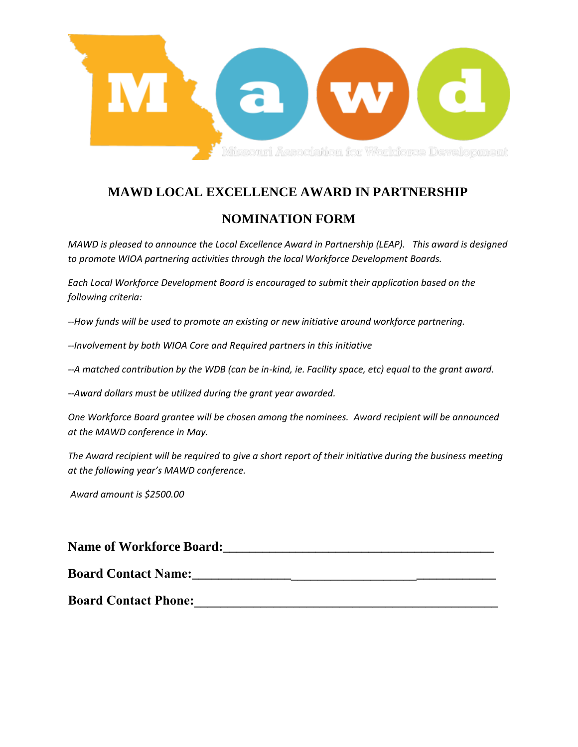

## **MAWD LOCAL EXCELLENCE AWARD IN PARTNERSHIP**

## **NOMINATION FORM**

*MAWD is pleased to announce the Local Excellence Award in Partnership (LEAP). This award is designed to promote WIOA partnering activities through the local Workforce Development Boards.* 

*Each Local Workforce Development Board is encouraged to submit their application based on the following criteria:* 

*--How funds will be used to promote an existing or new initiative around workforce partnering.* 

*--Involvement by both WIOA Core and Required partners in this initiative* 

*--A matched contribution by the WDB (can be in-kind, ie. Facility space, etc) equal to the grant award.* 

*--Award dollars must be utilized during the grant year awarded.* 

*One Workforce Board grantee will be chosen among the nominees. Award recipient will be announced at the MAWD conference in May.*

*The Award recipient will be required to give a short report of their initiative during the business meeting at the following year's MAWD conference.* 

*Award amount is \$2500.00*

| <b>Name of Workforce Board:</b> |  |
|---------------------------------|--|
| <b>Board Contact Name:</b>      |  |
| <b>Board Contact Phone:</b>     |  |